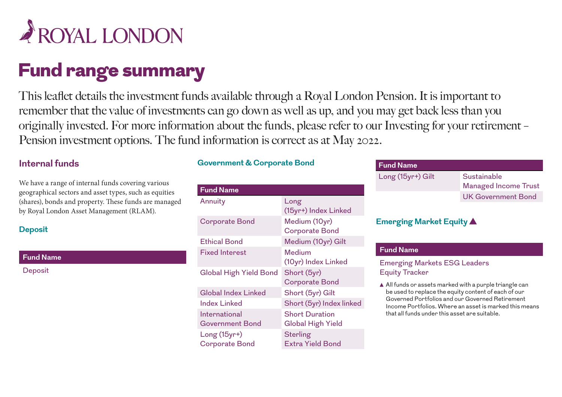

# Fund range summary

This leaflet details the investment funds available through a Royal London Pension. It is important to remember that the value of investments can go down as well as up, and you may get back less than you originally invested. For more information about the funds, please refer to our Investing for your retirement – Pension investment options. The fund information is correct as at May 2022.

#### **Internal funds**

We have a range of internal funds covering various geographical sectors and asset types, such as equities (shares), bonds and property. These funds are managed by Royal London Asset Management (RLAM).

#### **Deposit**

**Fund Name**

**Deposit** 

#### **Government & Corporate Bond**

| <b>Fund Name</b>                       |                                                   |
|----------------------------------------|---------------------------------------------------|
| Annuity                                | Long<br>(15yr+) Index Linked                      |
| <b>Corporate Bond</b>                  | Medium (10yr)<br><b>Corporate Bond</b>            |
| <b>Ethical Bond</b>                    | Medium (10yr) Gilt                                |
| <b>Fixed Interest</b>                  | Medium<br>(10yr) Index Linked                     |
| <b>Global High Yield Bond</b>          | Short (5yr)<br><b>Corporate Bond</b>              |
| <b>Global Index Linked</b>             | Short (5yr) Gilt                                  |
| <b>Index Linked</b>                    | Short (5yr) Index linked                          |
| International<br>Government Bond       | <b>Short Duration</b><br><b>Global High Yield</b> |
| $Long(15yr+)$<br><b>Corporate Bond</b> | <b>Sterling</b><br><b>Extra Yield Bond</b>        |

| <b>Fund Name</b>  |                             |
|-------------------|-----------------------------|
| Long (15yr+) Gilt | Sustainable                 |
|                   | <b>Managed Income Trust</b> |
|                   | <b>UK Government Bond</b>   |
|                   |                             |

#### **Emerging Market Equity**

#### **Fund Name**

Emerging Markets ESG Leaders Equity Tracker

 $\triangle$  All funds or assets marked with a purple triangle can be used to replace the equity content of each of our Governed Portfolios and our Governed Retirement Income Portfolios. Where an asset is marked this means that all funds under this asset are suitable.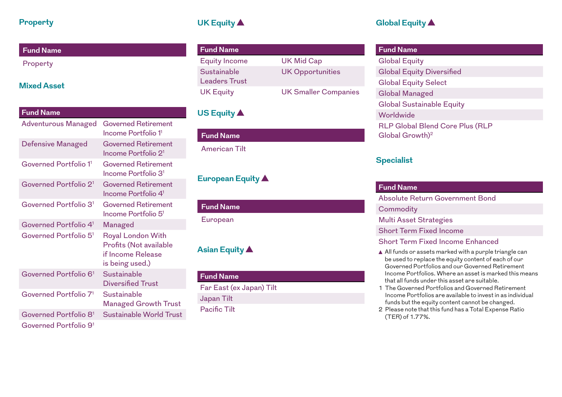#### **Property**

## **Fund Name** Property

#### **Mixed Asset**

| <b>Fund Name</b>                  |                                                                                                   |
|-----------------------------------|---------------------------------------------------------------------------------------------------|
| <b>Adventurous Managed</b>        | <b>Governed Retirement</b><br>Income Portfolio 1 <sup>1</sup>                                     |
| Defensive Managed                 | <b>Governed Retirement</b><br>Income Portfolio 2 <sup>1</sup>                                     |
| Governed Portfolio 1 <sup>1</sup> | <b>Governed Retirement</b><br>Income Portfolio 3 <sup>1</sup>                                     |
| Governed Portfolio 2 <sup>1</sup> | <b>Governed Retirement</b><br>Income Portfolio 4 <sup>1</sup>                                     |
| Governed Portfolio 3 <sup>1</sup> | <b>Governed Retirement</b><br>Income Portfolio 5 <sup>1</sup>                                     |
| Governed Portfolio 4 <sup>1</sup> | Managed                                                                                           |
| Governed Portfolio 5 <sup>1</sup> | <b>Royal London With</b><br><b>Profits (Not available</b><br>if Income Release<br>is being used.) |
| Governed Portfolio 6 <sup>1</sup> | Sustainable<br><b>Diversified Trust</b>                                                           |
| Governed Portfolio 7 <sup>1</sup> | Sustainable<br><b>Managed Growth Trust</b>                                                        |
| Governed Portfolio 8 <sup>1</sup> | <b>Sustainable World Trust</b>                                                                    |
| Governed Portfolio 91             |                                                                                                   |

## **UK Equity**

| <b>Fund Name</b>                    |                             |
|-------------------------------------|-----------------------------|
| <b>Equity Income</b>                | <b>UK Mid Cap</b>           |
| Sustainable<br><b>Leaders Trust</b> | <b>UK Opportunities</b>     |
| <b>UK Equity</b>                    | <b>UK Smaller Companies</b> |

## **US Equity**

| <b>Fund Name</b>     |  |
|----------------------|--|
| <b>American Tilt</b> |  |
|                      |  |

## **European Equity**

| <b>Fund Name</b> |  |  |
|------------------|--|--|
| European         |  |  |

## **Asian Equity**

#### **Fund Name**

Far East (ex Japan) Tilt Japan Tilt Pacific Tilt

## **Global Equity**

| <b>Fund Name</b>                                                      |
|-----------------------------------------------------------------------|
| <b>Global Equity</b>                                                  |
| <b>Global Equity Diversified</b>                                      |
| <b>Global Equity Select</b>                                           |
| <b>Global Managed</b>                                                 |
| <b>Global Sustainable Equity</b>                                      |
| Worldwide                                                             |
| <b>RLP Global Blend Core Plus (RLP</b><br>Global Growth) <sup>2</sup> |

#### **Specialist**

| <b>Fund Name</b>                                                                                                                                                                                                                                                                                                                                                                                                                                  |
|---------------------------------------------------------------------------------------------------------------------------------------------------------------------------------------------------------------------------------------------------------------------------------------------------------------------------------------------------------------------------------------------------------------------------------------------------|
| Absolute Return Government Bond                                                                                                                                                                                                                                                                                                                                                                                                                   |
| Commodity                                                                                                                                                                                                                                                                                                                                                                                                                                         |
| <b>Multi Asset Strategies</b>                                                                                                                                                                                                                                                                                                                                                                                                                     |
| <b>Short Term Fixed Income</b>                                                                                                                                                                                                                                                                                                                                                                                                                    |
| <b>Short Term Fixed Income Enhanced</b>                                                                                                                                                                                                                                                                                                                                                                                                           |
| All funds or assets marked with a purple triangle can<br>be used to replace the equity content of each of our<br>Governed Portfolios and our Governed Retirement<br>Income Portfolios. Where an asset is marked this means<br>that all funds under this asset are suitable.<br>1 The Governed Portfolios and Governed Retirement<br>Income Portfolios are available to invest in as individual<br>funds but the equity content cannot be changed. |

2 Please note that this fund has a Total Expense Ratio (TER) of 1.77%.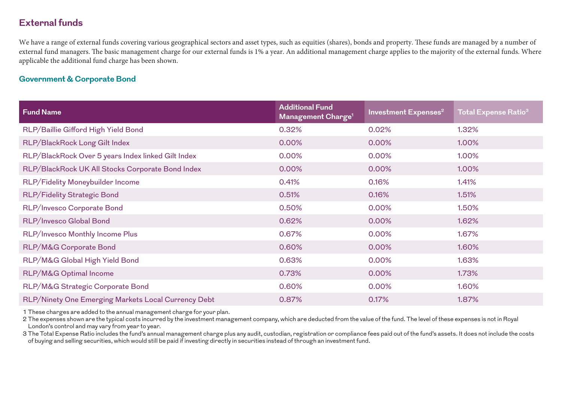#### **External funds**

We have a range of external funds covering various geographical sectors and asset types, such as equities (shares), bonds and property. These funds are managed by a number of external fund managers. The basic management charge for our external funds is 1% a year. An additional management charge applies to the majority of the external funds. Where applicable the additional fund charge has been shown.

#### **Government & Corporate Bond**

| <b>Fund Name</b>                                    | <b>Additional Fund</b><br>Management Charge <sup>1</sup> | Investment Expenses <sup>2</sup> | <b>Total Expense Ratio<sup>3</sup></b> |
|-----------------------------------------------------|----------------------------------------------------------|----------------------------------|----------------------------------------|
| RLP/Baillie Gifford High Yield Bond                 | 0.32%                                                    | 0.02%                            | 1.32%                                  |
| RLP/BlackRock Long Gilt Index                       | 0.00%                                                    | 0.00%                            | 1.00%                                  |
| RLP/BlackRock Over 5 years Index linked Gilt Index  | 0.00%                                                    | 0.00%                            | 1.00%                                  |
| RLP/BlackRock UK All Stocks Corporate Bond Index    | 0.00%                                                    | 0.00%                            | 1.00%                                  |
| RLP/Fidelity Moneybuilder Income                    | 0.41%                                                    | 0.16%                            | 1.41%                                  |
| RLP/Fidelity Strategic Bond                         | 0.51%                                                    | 0.16%                            | 1.51%                                  |
| RLP/Invesco Corporate Bond                          | 0.50%                                                    | 0.00%                            | 1.50%                                  |
| RLP/Invesco Global Bond                             | 0.62%                                                    | 0.00%                            | 1.62%                                  |
| RLP/Invesco Monthly Income Plus                     | 0.67%                                                    | 0.00%                            | 1.67%                                  |
| RLP/M&G Corporate Bond                              | 0.60%                                                    | 0.00%                            | 1.60%                                  |
| RLP/M&G Global High Yield Bond                      | 0.63%                                                    | 0.00%                            | 1.63%                                  |
| RLP/M&G Optimal Income                              | 0.73%                                                    | 0.00%                            | 1.73%                                  |
| RLP/M&G Strategic Corporate Bond                    | 0.60%                                                    | 0.00%                            | 1.60%                                  |
| RLP/Ninety One Emerging Markets Local Currency Debt | 0.87%                                                    | 0.17%                            | 1.87%                                  |

1 These charges are added to the annual management charge for your plan.

2 The expenses shown are the typical costs incurred by the investment management company, which are deducted from the value of the fund. The level of these expenses is not in Royal London's control and may vary from year to year.

3 The Total Expense Ratio includes the fund's annual management charge plus any audit, custodian, registration or compliance fees paid out of the fund's assets. It does not include the costs of buying and selling securities, which would still be paid if investing directly in securities instead of through an investment fund.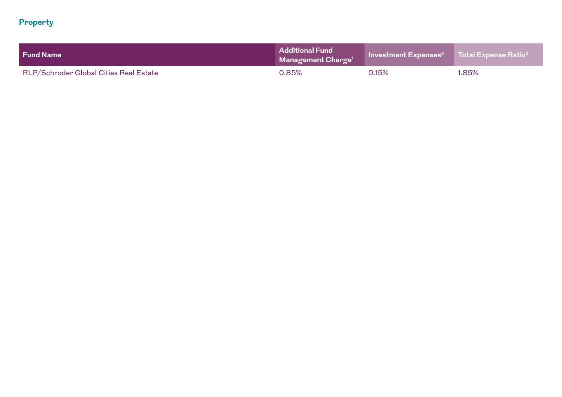#### **Property**

| <b>Fund Name</b>                       | <b>Additional Fund</b><br>$\mid$ Management Charge $^{11}$ | Investment Expenses <sup>2</sup> Total Expense Ratio <sup>3</sup> |       |
|----------------------------------------|------------------------------------------------------------|-------------------------------------------------------------------|-------|
| RLP/Schroder Global Cities Real Estate | $0.85\%$                                                   | 0.15%                                                             | 1.85% |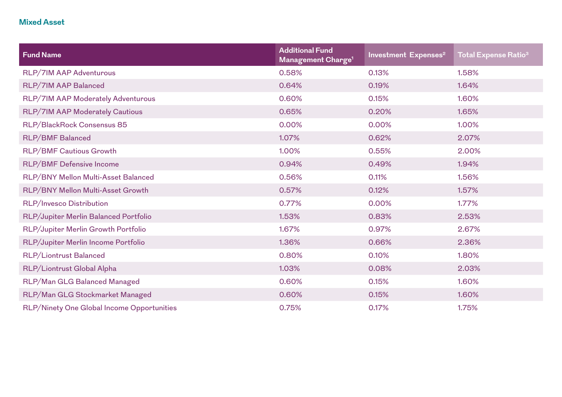#### **Mixed Asset**

| <b>Fund Name</b>                           | <b>Additional Fund</b><br>Management Charge <sup>1</sup> | Investment Expenses <sup>2</sup> | Total Expense Ratio $^{\rm 3}$ |
|--------------------------------------------|----------------------------------------------------------|----------------------------------|--------------------------------|
| RLP/7IM AAP Adventurous                    | 0.58%                                                    | 0.13%                            | 1.58%                          |
| RLP/7IM AAP Balanced                       | 0.64%                                                    | 0.19%                            | 1.64%                          |
| RLP/7IM AAP Moderately Adventurous         | 0.60%                                                    | 0.15%                            | 1.60%                          |
| RLP/7IM AAP Moderately Cautious            | 0.65%                                                    | 0.20%                            | 1.65%                          |
| RLP/BlackRock Consensus 85                 | 0.00%                                                    | 0.00%                            | 1.00%                          |
| <b>RLP/BMF Balanced</b>                    | 1.07%                                                    | 0.62%                            | 2.07%                          |
| <b>RLP/BMF Cautious Growth</b>             | 1.00%                                                    | 0.55%                            | 2.00%                          |
| <b>RLP/BMF Defensive Income</b>            | 0.94%                                                    | 0.49%                            | 1.94%                          |
| RLP/BNY Mellon Multi-Asset Balanced        | 0.56%                                                    | 0.11%                            | 1.56%                          |
| RLP/BNY Mellon Multi-Asset Growth          | 0.57%                                                    | 0.12%                            | 1.57%                          |
| RLP/Invesco Distribution                   | 0.77%                                                    | 0.00%                            | 1.77%                          |
| RLP/Jupiter Merlin Balanced Portfolio      | 1.53%                                                    | 0.83%                            | 2.53%                          |
| RLP/Jupiter Merlin Growth Portfolio        | 1.67%                                                    | 0.97%                            | 2.67%                          |
| RLP/Jupiter Merlin Income Portfolio        | 1.36%                                                    | 0.66%                            | 2.36%                          |
| RLP/Liontrust Balanced                     | 0.80%                                                    | 0.10%                            | 1.80%                          |
| RLP/Liontrust Global Alpha                 | 1.03%                                                    | 0.08%                            | 2.03%                          |
| RLP/Man GLG Balanced Managed               | 0.60%                                                    | 0.15%                            | 1.60%                          |
| RLP/Man GLG Stockmarket Managed            | 0.60%                                                    | 0.15%                            | 1.60%                          |
| RLP/Ninety One Global Income Opportunities | 0.75%                                                    | 0.17%                            | 1.75%                          |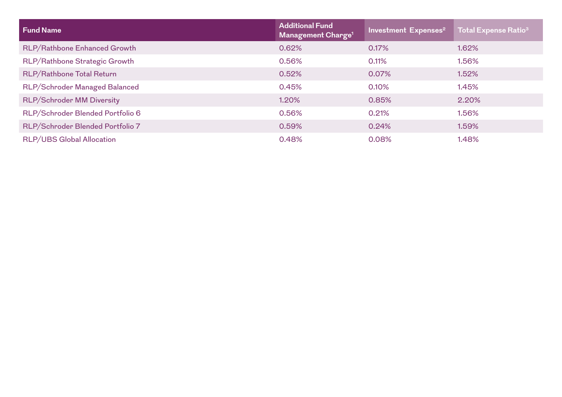| <b>Fund Name</b>                 | <b>Additional Fund</b><br>Management Charge <sup>1</sup> | Investment Expenses <sup>2</sup> | <b>Total Expense Ratio<sup>3</sup></b> |
|----------------------------------|----------------------------------------------------------|----------------------------------|----------------------------------------|
| RLP/Rathbone Enhanced Growth     | 0.62%                                                    | 0.17%                            | 1.62%                                  |
| RLP/Rathbone Strategic Growth    | 0.56%                                                    | 0.11%                            | 1.56%                                  |
| RLP/Rathbone Total Return        | 0.52%                                                    | 0.07%                            | 1.52%                                  |
| RLP/Schroder Managed Balanced    | 0.45%                                                    | 0.10%                            | 1.45%                                  |
| <b>RLP/Schroder MM Diversity</b> | 1.20%                                                    | 0.85%                            | 2.20%                                  |
| RLP/Schroder Blended Portfolio 6 | 0.56%                                                    | 0.21%                            | 1.56%                                  |
| RLP/Schroder Blended Portfolio 7 | 0.59%                                                    | 0.24%                            | 1.59%                                  |
| <b>RLP/UBS Global Allocation</b> | 0.48%                                                    | 0.08%                            | 1.48%                                  |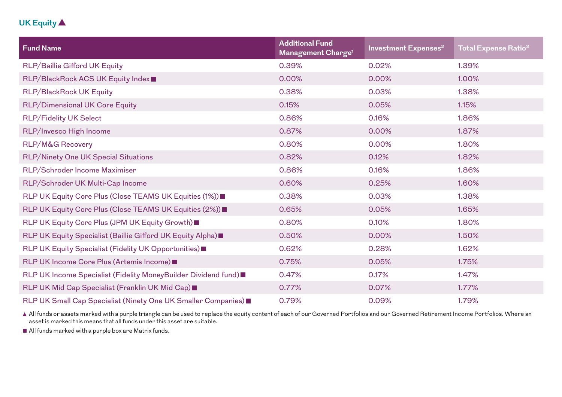#### **UK Equity**

| <b>Fund Name</b>                                               | <b>Additional Fund</b><br>Management Charge <sup>1</sup> | Investment Expenses <sup>2</sup> | Total Expense Ratio $^{\rm 3}$ |
|----------------------------------------------------------------|----------------------------------------------------------|----------------------------------|--------------------------------|
| RLP/Baillie Gifford UK Equity                                  | 0.39%                                                    | 0.02%                            | 1.39%                          |
| RLP/BlackRock ACS UK Equity Index■                             | 0.00%                                                    | 0.00%                            | 1.00%                          |
| RLP/BlackRock UK Equity                                        | 0.38%                                                    | 0.03%                            | 1.38%                          |
| <b>RLP/Dimensional UK Core Equity</b>                          | 0.15%                                                    | 0.05%                            | 1.15%                          |
| <b>RLP/Fidelity UK Select</b>                                  | 0.86%                                                    | 0.16%                            | 1.86%                          |
| RLP/Invesco High Income                                        | 0.87%                                                    | 0.00%                            | 1.87%                          |
| <b>RLP/M&amp;G Recovery</b>                                    | 0.80%                                                    | 0.00%                            | 1.80%                          |
| <b>RLP/Ninety One UK Special Situations</b>                    | 0.82%                                                    | 0.12%                            | 1.82%                          |
| RLP/Schroder Income Maximiser                                  | 0.86%                                                    | 0.16%                            | 1.86%                          |
| RLP/Schroder UK Multi-Cap Income                               | 0.60%                                                    | 0.25%                            | 1.60%                          |
| RLP UK Equity Core Plus (Close TEAMS UK Equities (1%)) ■       | 0.38%                                                    | 0.03%                            | 1.38%                          |
| RLP UK Equity Core Plus (Close TEAMS UK Equities (2%)) =       | 0.65%                                                    | 0.05%                            | 1.65%                          |
| RLP UK Equity Core Plus (JPM UK Equity Growth) ■               | 0.80%                                                    | 0.10%                            | 1.80%                          |
| RLP UK Equity Specialist (Baillie Gifford UK Equity Alpha)     | 0.50%                                                    | 0.00%                            | 1.50%                          |
| RLP UK Equity Specialist (Fidelity UK Opportunities)           | 0.62%                                                    | 0.28%                            | 1.62%                          |
| RLP UK Income Core Plus (Artemis Income)■                      | 0.75%                                                    | 0.05%                            | 1.75%                          |
| RLP UK Income Specialist (Fidelity MoneyBuilder Dividend fund) | 0.47%                                                    | 0.17%                            | 1.47%                          |
| RLP UK Mid Cap Specialist (Franklin UK Mid Cap)                | 0.77%                                                    | 0.07%                            | 1.77%                          |
| RLP UK Small Cap Specialist (Ninety One UK Smaller Companies)  | 0.79%                                                    | 0.09%                            | 1.79%                          |

 All funds or assets marked with a purple triangle can be used to replace the equity content of each of our Governed Portfolios and our Governed Retirement Income Portfolios. Where an asset is marked this means that all funds under this asset are suitable.

All funds marked with a purple box are Matrix funds.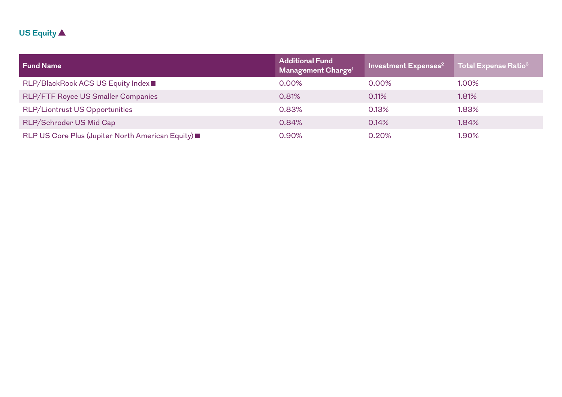## **US Equity**

| <b>Fund Name</b>                                 | <b>Additional Fund</b><br>Management Charge <sup>1</sup> | Investment Expenses <sup>2</sup> | Total Expense Ratio <sup>3</sup> |
|--------------------------------------------------|----------------------------------------------------------|----------------------------------|----------------------------------|
| RLP/BlackRock ACS US Equity Index■               | 0.00%                                                    | $0.00\%$                         | 1.00%                            |
| RLP/FTF Royce US Smaller Companies               | 0.81%                                                    | 0.11%                            | 1.81%                            |
| <b>RLP/Liontrust US Opportunities</b>            | 0.83%                                                    | 0.13%                            | 1.83%                            |
| RLP/Schroder US Mid Cap                          | 0.84%                                                    | 0.14%                            | 1.84%                            |
| RLP US Core Plus (Jupiter North American Equity) | 0.90%                                                    | 0.20%                            | 1.90%                            |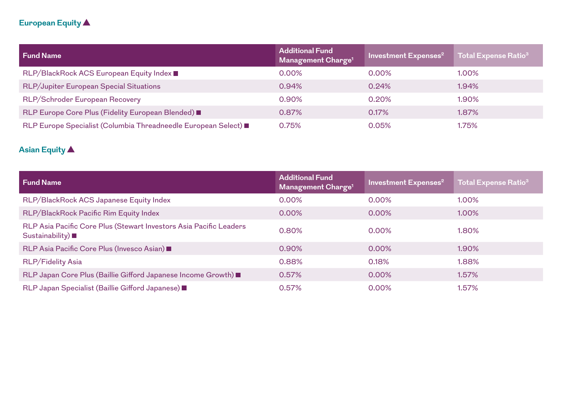## **European Equity**

| <b>Fund Name</b>                                              | <b>Additional Fund</b><br>Management Charge <sup>1</sup> | Investment Expenses <sup>2</sup> | <b>Total Expense Ratio<sup>3</sup></b> |
|---------------------------------------------------------------|----------------------------------------------------------|----------------------------------|----------------------------------------|
| RLP/BlackRock ACS European Equity Index ■                     | $0.00\%$                                                 | $0.00\%$                         | 1.00%                                  |
| RLP/Jupiter European Special Situations                       | 0.94%                                                    | 0.24%                            | 1.94%                                  |
| RLP/Schroder European Recovery                                | $0.90\%$                                                 | 0.20%                            | 1.90%                                  |
| RLP Europe Core Plus (Fidelity European Blended)              | 0.87%                                                    | 0.17%                            | 1.87%                                  |
| RLP Europe Specialist (Columbia Threadneedle European Select) | 0.75%                                                    | 0.05%                            | 1.75%                                  |

## **Asian Equity**

| <b>Fund Name</b>                                                                        | <b>Additional Fund</b><br>Management Charge <sup>1</sup> | Investment Expenses <sup>2</sup> | <b>Total Expense Ratio<sup>3</sup></b> |
|-----------------------------------------------------------------------------------------|----------------------------------------------------------|----------------------------------|----------------------------------------|
| RLP/BlackRock ACS Japanese Equity Index                                                 | 0.00%                                                    | 0.00%                            | 1.00%                                  |
| RLP/BlackRock Pacific Rim Equity Index                                                  | 0.00%                                                    | $0.00\%$                         | 1.00%                                  |
| RLP Asia Pacific Core Plus (Stewart Investors Asia Pacific Leaders<br>Sustainability) ■ | 0.80%                                                    | 0.00%                            | $1.80\%$                               |
| RLP Asia Pacific Core Plus (Invesco Asian)                                              | 0.90%                                                    | 0.00%                            | 1.90%                                  |
| <b>RLP/Fidelity Asia</b>                                                                | 0.88%                                                    | 0.18%                            | 1.88%                                  |
| RLP Japan Core Plus (Baillie Gifford Japanese Income Growth)                            | 0.57%                                                    | 0.00%                            | 1.57%                                  |
| RLP Japan Specialist (Baillie Gifford Japanese)                                         | 0.57%                                                    | 0.00%                            | 1.57%                                  |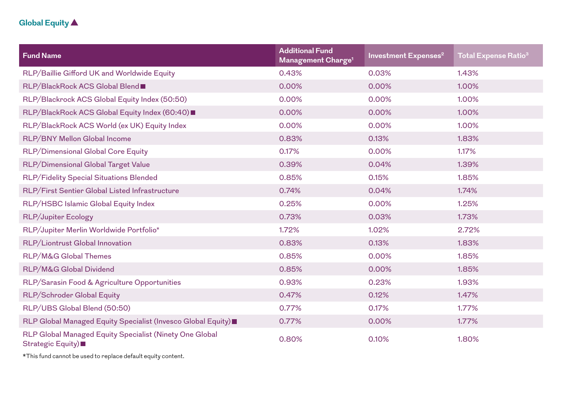## **Global Equity**

| <b>Fund Name</b>                                                             | <b>Additional Fund</b><br>Management Charge <sup>1</sup> | Investment Expenses <sup>2</sup> | <b>Total Expense Ratio<sup>3</sup></b> |
|------------------------------------------------------------------------------|----------------------------------------------------------|----------------------------------|----------------------------------------|
| RLP/Baillie Gifford UK and Worldwide Equity                                  | 0.43%                                                    | 0.03%                            | 1.43%                                  |
| RLP/BlackRock ACS Global Blend■                                              | 0.00%                                                    | 0.00%                            | 1.00%                                  |
| RLP/Blackrock ACS Global Equity Index (50:50)                                | 0.00%                                                    | 0.00%                            | 1.00%                                  |
| RLP/BlackRock ACS Global Equity Index (60:40)■                               | 0.00%                                                    | 0.00%                            | 1.00%                                  |
| RLP/BlackRock ACS World (ex UK) Equity Index                                 | 0.00%                                                    | 0.00%                            | 1.00%                                  |
| RLP/BNY Mellon Global Income                                                 | 0.83%                                                    | 0.13%                            | 1.83%                                  |
| RLP/Dimensional Global Core Equity                                           | 0.17%                                                    | 0.00%                            | 1.17%                                  |
| RLP/Dimensional Global Target Value                                          | 0.39%                                                    | 0.04%                            | 1.39%                                  |
| RLP/Fidelity Special Situations Blended                                      | 0.85%                                                    | 0.15%                            | 1.85%                                  |
| RLP/First Sentier Global Listed Infrastructure                               | 0.74%                                                    | 0.04%                            | 1.74%                                  |
| RLP/HSBC Islamic Global Equity Index                                         | 0.25%                                                    | 0.00%                            | 1.25%                                  |
| <b>RLP/Jupiter Ecology</b>                                                   | 0.73%                                                    | 0.03%                            | 1.73%                                  |
| RLP/Jupiter Merlin Worldwide Portfolio*                                      | 1.72%                                                    | 1.02%                            | 2.72%                                  |
| RLP/Liontrust Global Innovation                                              | 0.83%                                                    | 0.13%                            | 1.83%                                  |
| <b>RLP/M&amp;G Global Themes</b>                                             | 0.85%                                                    | 0.00%                            | 1.85%                                  |
| RLP/M&G Global Dividend                                                      | 0.85%                                                    | 0.00%                            | 1.85%                                  |
| RLP/Sarasin Food & Agriculture Opportunities                                 | 0.93%                                                    | 0.23%                            | 1.93%                                  |
| RLP/Schroder Global Equity                                                   | 0.47%                                                    | 0.12%                            | 1.47%                                  |
| RLP/UBS Global Blend (50:50)                                                 | 0.77%                                                    | 0.17%                            | 1.77%                                  |
| RLP Global Managed Equity Specialist (Invesco Global Equity)                 | 0.77%                                                    | 0.00%                            | 1.77%                                  |
| RLP Global Managed Equity Specialist (Ninety One Global<br>Strategic Equity) | 0.80%                                                    | 0.10%                            | 1.80%                                  |

\*This fund cannot be used to replace default equity content.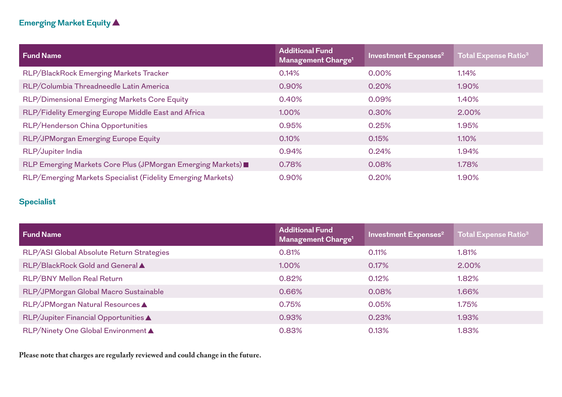## **Emerging Market Equity**

| <b>Fund Name</b>                                            | <b>Additional Fund</b><br>Management Charge <sup>1</sup> | <b>Investment Expenses<sup>2</sup></b> | Total Expense Ratio <sup>3</sup> |
|-------------------------------------------------------------|----------------------------------------------------------|----------------------------------------|----------------------------------|
| RLP/BlackRock Emerging Markets Tracker                      | 0.14%                                                    | 0.00%                                  | 1.14%                            |
| RLP/Columbia Threadneedle Latin America                     | 0.90%                                                    | 0.20%                                  | 1.90%                            |
| RLP/Dimensional Emerging Markets Core Equity                | 0.40%                                                    | 0.09%                                  | 1.40%                            |
| RLP/Fidelity Emerging Europe Middle East and Africa         | 1.00%                                                    | 0.30%                                  | 2.00%                            |
| RLP/Henderson China Opportunities                           | 0.95%                                                    | 0.25%                                  | 1.95%                            |
| RLP/JPMorgan Emerging Europe Equity                         | 0.10%                                                    | 0.15%                                  | 1.10%                            |
| RLP/Jupiter India                                           | 0.94%                                                    | 0.24%                                  | 1.94%                            |
| RLP Emerging Markets Core Plus (JPMorgan Emerging Markets)  | 0.78%                                                    | 0.08%                                  | 1.78%                            |
| RLP/Emerging Markets Specialist (Fidelity Emerging Markets) | 0.90%                                                    | 0.20%                                  | 1.90%                            |

## **Specialist**

| <b>Fund Name</b>                          | <b>Additional Fund</b><br>Management Charge <sup>1</sup> | <b>Investment Expenses<sup>2</sup></b> | <b>Total Expense Ratio<sup>3</sup></b> |
|-------------------------------------------|----------------------------------------------------------|----------------------------------------|----------------------------------------|
| RLP/ASI Global Absolute Return Strategies | 0.81%                                                    | 0.11%                                  | 1.81%                                  |
| RLP/BlackRock Gold and General            | 1.00%                                                    | 0.17%                                  | 2.00%                                  |
| RLP/BNY Mellon Real Return                | 0.82%                                                    | 0.12%                                  | 1.82%                                  |
| RLP/JPMorgan Global Macro Sustainable     | 0.66%                                                    | 0.08%                                  | 1.66%                                  |
| RLP/JPMorgan Natural Resources ▲          | 0.75%                                                    | 0.05%                                  | 1.75%                                  |
| RLP/Jupiter Financial Opportunities ▲     | 0.93%                                                    | 0.23%                                  | 1.93%                                  |
| RLP/Ninety One Global Environment ▲       | 0.83%                                                    | 0.13%                                  | 1.83%                                  |

**Please note that charges are regularly reviewed and could change in the future.**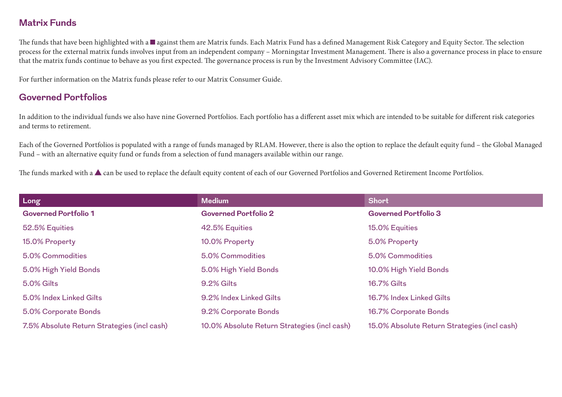#### **Matrix Funds**

The funds that have been highlighted with a **against them are Matrix funds. Each Matrix Fund has a defined Management Risk Category and Equity Sector. The selection** process for the external matrix funds involves input from an independent company – Morningstar Investment Management. There is also a governance process in place to ensure that the matrix funds continue to behave as you first expected. The governance process is run by the Investment Advisory Committee (IAC).

For further information on the Matrix funds please refer to our Matrix Consumer Guide.

#### **Governed Portfolios**

In addition to the individual funds we also have nine Governed Portfolios. Each portfolio has a different asset mix which are intended to be suitable for different risk categories and terms to retirement.

Each of the Governed Portfolios is populated with a range of funds managed by RLAM. However, there is also the option to replace the default equity fund – the Global Managed Fund – with an alternative equity fund or funds from a selection of fund managers available within our range.

The funds marked with a  $\blacktriangle$  can be used to replace the default equity content of each of our Governed Portfolios and Governed Retirement Income Portfolios.

| Long                                        | <b>Medium</b>                                | <b>Short</b>                                 |
|---------------------------------------------|----------------------------------------------|----------------------------------------------|
| <b>Governed Portfolio 1</b>                 | <b>Governed Portfolio 2</b>                  | <b>Governed Portfolio 3</b>                  |
| 52.5% Equities                              | 42.5% Equities                               | 15.0% Equities                               |
| 15.0% Property                              | 10.0% Property                               | 5.0% Property                                |
| 5.0% Commodities                            | 5.0% Commodities                             | 5.0% Commodities                             |
| 5.0% High Yield Bonds                       | 5.0% High Yield Bonds                        | 10.0% High Yield Bonds                       |
| <b>5.0% Gilts</b>                           | 9.2% Gilts                                   | <b>16.7% Gilts</b>                           |
| 5.0% Index Linked Gilts                     | 9.2% Index Linked Gilts                      | 16.7% Index Linked Gilts                     |
| 5.0% Corporate Bonds                        | 9.2% Corporate Bonds                         | 16.7% Corporate Bonds                        |
| 7.5% Absolute Return Strategies (incl cash) | 10.0% Absolute Return Strategies (incl cash) | 15.0% Absolute Return Strategies (incl cash) |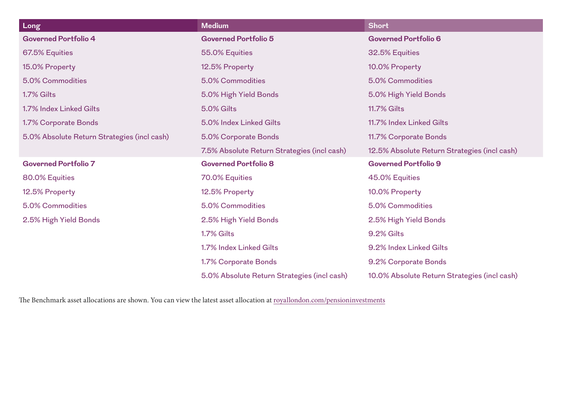| Long                                        | <b>Medium</b>                               | <b>Short</b>                                 |
|---------------------------------------------|---------------------------------------------|----------------------------------------------|
| <b>Governed Portfolio 4</b>                 | <b>Governed Portfolio 5</b>                 | <b>Governed Portfolio 6</b>                  |
| 67.5% Equities                              | 55.0% Equities                              | 32.5% Equities                               |
| 15.0% Property                              | 12.5% Property                              | 10.0% Property                               |
| 5.0% Commodities                            | 5.0% Commodities                            | 5.0% Commodities                             |
| 1.7% Gilts                                  | 5.0% High Yield Bonds                       | 5.0% High Yield Bonds                        |
| 1.7% Index Linked Gilts                     | <b>5.0% Gilts</b>                           | <b>11.7% Gilts</b>                           |
| 1.7% Corporate Bonds                        | 5.0% Index Linked Gilts                     | 11.7% Index Linked Gilts                     |
| 5.0% Absolute Return Strategies (incl cash) | 5.0% Corporate Bonds                        | 11.7% Corporate Bonds                        |
|                                             | 7.5% Absolute Return Strategies (incl cash) | 12.5% Absolute Return Strategies (incl cash) |
| <b>Governed Portfolio 7</b>                 | <b>Governed Portfolio 8</b>                 | <b>Governed Portfolio 9</b>                  |
| 80.0% Equities                              | 70.0% Equities                              | 45.0% Equities                               |
| 12.5% Property                              | 12.5% Property                              | 10.0% Property                               |
| 5.0% Commodities                            | 5.0% Commodities                            | 5.0% Commodities                             |
| 2.5% High Yield Bonds                       | 2.5% High Yield Bonds                       | 2.5% High Yield Bonds                        |
|                                             | 1.7% Gilts                                  | 9.2% Gilts                                   |
|                                             | 1.7% Index Linked Gilts                     | 9.2% Index Linked Gilts                      |
|                                             | 1.7% Corporate Bonds                        | 9.2% Corporate Bonds                         |
|                                             | 5.0% Absolute Return Strategies (incl cash) | 10.0% Absolute Return Strategies (incl cash) |

The Benchmark asset allocations are shown. You can view the latest asset allocation at [royallondon.com/pensioninvestments](https://www.royallondon.com/pensions/investment-options/)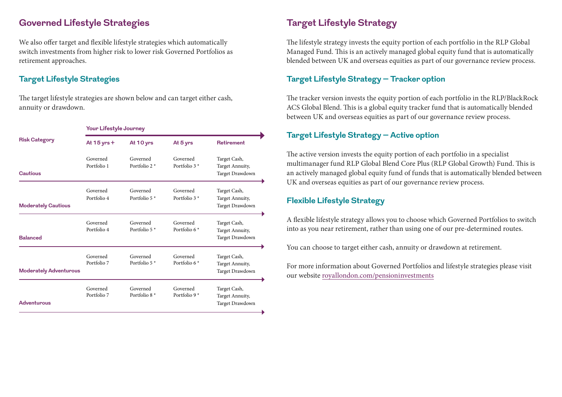#### **Governed Lifestyle Strategies**

We also offer target and flexible lifestyle strategies which automatically switch investments from higher risk to lower risk Governed Portfolios as retirement approaches.

#### **Target Lifestyle Strategies**

The target lifestyle strategies are shown below and can target either cash, annuity or drawdown.

|                               | Your Lifestyle Journey  |                                      |                                      |                                                    |
|-------------------------------|-------------------------|--------------------------------------|--------------------------------------|----------------------------------------------------|
| <b>Risk Category</b>          | At $15$ yrs $+$         | At 10 yrs                            | At 5 yrs                             | <b>Retirement</b>                                  |
| <b>Cautious</b>               | Governed<br>Portfolio 1 | Governed<br>Portfolio $2*$           | Governed<br>Portfolio $3*$           | Target Cash,<br>Target Annuity,<br>Target Drawdown |
| <b>Moderately Cautious</b>    | Governed<br>Portfolio 4 | Governed<br>Portfolio 5 <sup>*</sup> | Governed<br>Portfolio 3 *            | Target Cash,<br>Target Annuity,<br>Target Drawdown |
| <b>Balanced</b>               | Governed<br>Portfolio 4 | Governed<br>Portfolio 5 <sup>*</sup> | Governed<br>Portfolio 6 <sup>*</sup> | Target Cash,<br>Target Annuity,<br>Target Drawdown |
| <b>Moderately Adventurous</b> | Governed<br>Portfolio 7 | Governed<br>Portfolio 5 <sup>*</sup> | Governed<br>Portfolio 6*             | Target Cash,<br>Target Annuity,<br>Target Drawdown |
| <b>Adventurous</b>            | Governed<br>Portfolio 7 | Governed<br>Portfolio 8 $*$          | Governed<br>Portfolio 9 $*$          | Target Cash,<br>Target Annuity,<br>Target Drawdown |

## **Target Lifestyle Strategy**

The lifestyle strategy invests the equity portion of each portfolio in the RLP Global Managed Fund. This is an actively managed global equity fund that is automatically blended between UK and overseas equities as part of our governance review process.

#### **Target Lifestyle Strategy – Tracker option**

The tracker version invests the equity portion of each portfolio in the RLP/BlackRock ACS Global Blend. This is a global equity tracker fund that is automatically blended between UK and overseas equities as part of our governance review process.

#### **Target Lifestyle Strategy – Active option**

The active version invests the equity portion of each portfolio in a specialist multimanager fund RLP Global Blend Core Plus (RLP Global Growth) Fund. This is an actively managed global equity fund of funds that is automatically blended between UK and overseas equities as part of our governance review process.

#### **Flexible Lifestyle Strategy**

A flexible lifestyle strategy allows you to choose which Governed Portfolios to switch into as you near retirement, rather than using one of our pre-determined routes.

You can choose to target either cash, annuity or drawdown at retirement.

For more information about Governed Portfolios and lifestyle strategies please visit our website [royallondon.com/pensioninvestments](https://www.royallondon.com/pensions/investment-options/)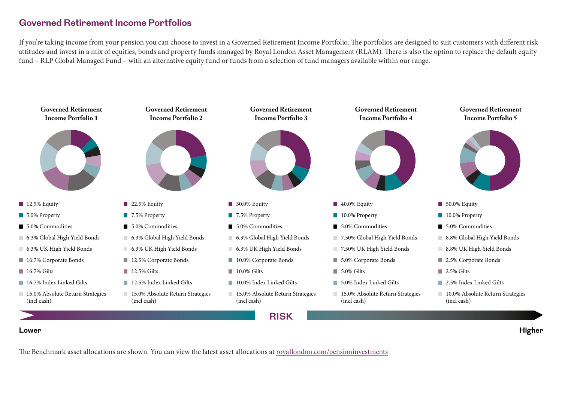#### **Governed Retirement Income Portfolios**

If you're taking income from your pension you can choose to invest in a Governed Retirement Income Portfolio. The portfolios are designed to suit customers with different risk attitudes and invest in a mix of equities, bonds and property funds managed by Royal London Asset Management (RLAM). There is also the option to replace the default equity fund – RLP Global Managed Fund – with an alternative equity fund or funds from a selection of fund managers available within our range.